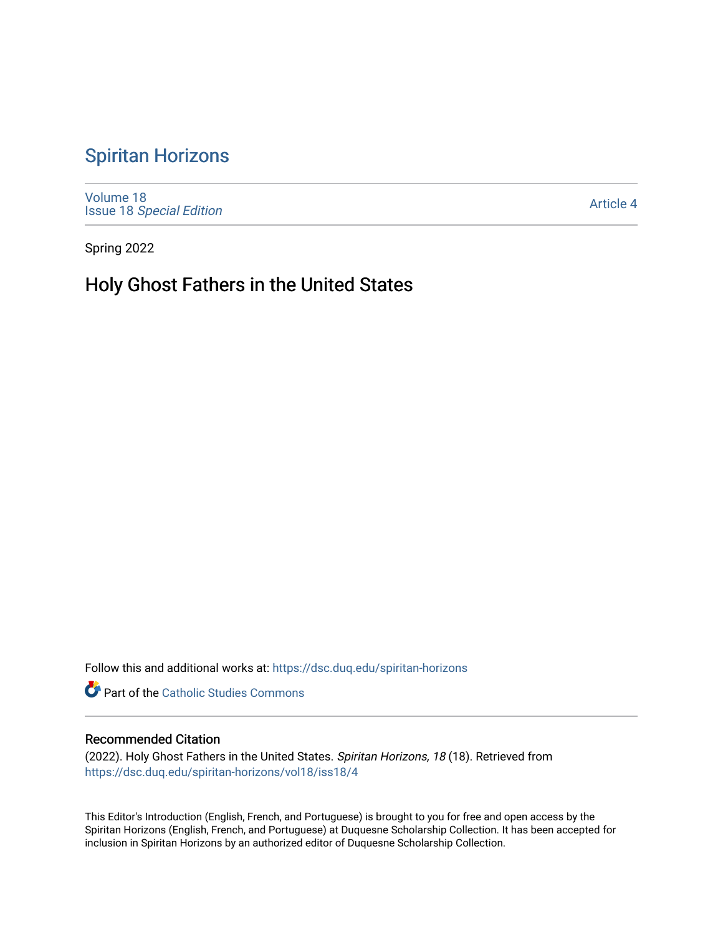## [Spiritan Horizons](https://dsc.duq.edu/spiritan-horizons)

[Volume 18](https://dsc.duq.edu/spiritan-horizons/vol18) Issue 18 [Special Edition](https://dsc.duq.edu/spiritan-horizons/vol18/iss18) 

[Article 4](https://dsc.duq.edu/spiritan-horizons/vol18/iss18/4) 

Spring 2022

## Holy Ghost Fathers in the United States

Follow this and additional works at: [https://dsc.duq.edu/spiritan-horizons](https://dsc.duq.edu/spiritan-horizons?utm_source=dsc.duq.edu%2Fspiritan-horizons%2Fvol18%2Fiss18%2F4&utm_medium=PDF&utm_campaign=PDFCoverPages)

**Part of the [Catholic Studies Commons](http://network.bepress.com/hgg/discipline/1294?utm_source=dsc.duq.edu%2Fspiritan-horizons%2Fvol18%2Fiss18%2F4&utm_medium=PDF&utm_campaign=PDFCoverPages)** 

## Recommended Citation

(2022). Holy Ghost Fathers in the United States. Spiritan Horizons, 18 (18). Retrieved from [https://dsc.duq.edu/spiritan-horizons/vol18/iss18/4](https://dsc.duq.edu/spiritan-horizons/vol18/iss18/4?utm_source=dsc.duq.edu%2Fspiritan-horizons%2Fvol18%2Fiss18%2F4&utm_medium=PDF&utm_campaign=PDFCoverPages)

This Editor's Introduction (English, French, and Portuguese) is brought to you for free and open access by the Spiritan Horizons (English, French, and Portuguese) at Duquesne Scholarship Collection. It has been accepted for inclusion in Spiritan Horizons by an authorized editor of Duquesne Scholarship Collection.